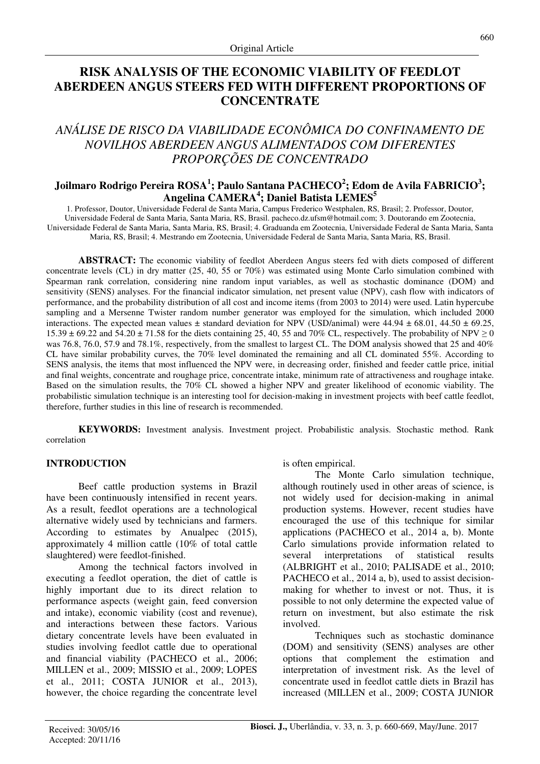# **RISK ANALYSIS OF THE ECONOMIC VIABILITY OF FEEDLOT ABERDEEN ANGUS STEERS FED WITH DIFFERENT PROPORTIONS OF CONCENTRATE**

# *ANÁLISE DE RISCO DA VIABILIDADE ECONÔMICA DO CONFINAMENTO DE NOVILHOS ABERDEEN ANGUS ALIMENTADOS COM DIFERENTES PROPORÇÕES DE CONCENTRADO*

# **Joilmaro Rodrigo Pereira ROSA<sup>1</sup> ; Paulo Santana PACHECO<sup>2</sup> ; Edom de Avila FABRICIO<sup>3</sup> ; Angelina CAMERA<sup>4</sup> ; Daniel Batista LEMES<sup>5</sup>**

1. Professor, Doutor, Universidade Federal de Santa Maria, Campus Frederico Westphalen, RS, Brasil; 2. Professor, Doutor, Universidade Federal de Santa Maria, Santa Maria, RS, Brasil. pacheco.dz.ufsm@hotmail.com; 3. Doutorando em Zootecnia, Universidade Federal de Santa Maria, Santa Maria, RS, Brasil; 4. Graduanda em Zootecnia, Universidade Federal de Santa Maria, Santa Maria, RS, Brasil; 4. Mestrando em Zootecnia, Universidade Federal de Santa Maria, Santa Maria, RS, Brasil.

**ABSTRACT:** The economic viability of feedlot Aberdeen Angus steers fed with diets composed of different concentrate levels (CL) in dry matter (25, 40, 55 or 70%) was estimated using Monte Carlo simulation combined with Spearman rank correlation, considering nine random input variables, as well as stochastic dominance (DOM) and sensitivity (SENS) analyses. For the financial indicator simulation, net present value (NPV), cash flow with indicators of performance, and the probability distribution of all cost and income items (from 2003 to 2014) were used. Latin hypercube sampling and a Mersenne Twister random number generator was employed for the simulation, which included 2000 interactions. The expected mean values  $\pm$  standard deviation for NPV (USD/animal) were 44.94  $\pm$  68.01, 44.50  $\pm$  69.25,  $15.39 \pm 69.22$  and  $54.20 \pm 71.58$  for the diets containing 25, 40, 55 and 70% CL, respectively. The probability of NPV  $\geq 0$ was 76.8, 76.0, 57.9 and 78.1%, respectively, from the smallest to largest CL. The DOM analysis showed that 25 and 40% CL have similar probability curves, the 70% level dominated the remaining and all CL dominated 55%. According to SENS analysis, the items that most influenced the NPV were, in decreasing order, finished and feeder cattle price, initial and final weights, concentrate and roughage price, concentrate intake, minimum rate of attractiveness and roughage intake. Based on the simulation results, the 70% CL showed a higher NPV and greater likelihood of economic viability. The probabilistic simulation technique is an interesting tool for decision-making in investment projects with beef cattle feedlot, therefore, further studies in this line of research is recommended.

**KEYWORDS:** Investment analysis. Investment project. Probabilistic analysis. Stochastic method. Rank correlation

#### **INTRODUCTION**

Beef cattle production systems in Brazil have been continuously intensified in recent years. As a result, feedlot operations are a technological alternative widely used by technicians and farmers. According to estimates by Anualpec (2015), approximately 4 million cattle (10% of total cattle slaughtered) were feedlot-finished.

Among the technical factors involved in executing a feedlot operation, the diet of cattle is highly important due to its direct relation to performance aspects (weight gain, feed conversion and intake), economic viability (cost and revenue), and interactions between these factors. Various dietary concentrate levels have been evaluated in studies involving feedlot cattle due to operational and financial viability (PACHECO et al., 2006; MILLEN et al., 2009; MISSIO et al., 2009; LOPES et al., 2011; COSTA JUNIOR et al., 2013), however, the choice regarding the concentrate level

is often empirical.

The Monte Carlo simulation technique, although routinely used in other areas of science, is not widely used for decision-making in animal production systems. However, recent studies have encouraged the use of this technique for similar applications (PACHECO et al., 2014 a, b). Monte Carlo simulations provide information related to several interpretations of statistical results (ALBRIGHT et al., 2010; PALISADE et al., 2010; PACHECO et al., 2014 a, b), used to assist decisionmaking for whether to invest or not. Thus, it is possible to not only determine the expected value of return on investment, but also estimate the risk involved.

Techniques such as stochastic dominance (DOM) and sensitivity (SENS) analyses are other options that complement the estimation and interpretation of investment risk. As the level of concentrate used in feedlot cattle diets in Brazil has increased (MILLEN et al., 2009; COSTA JUNIOR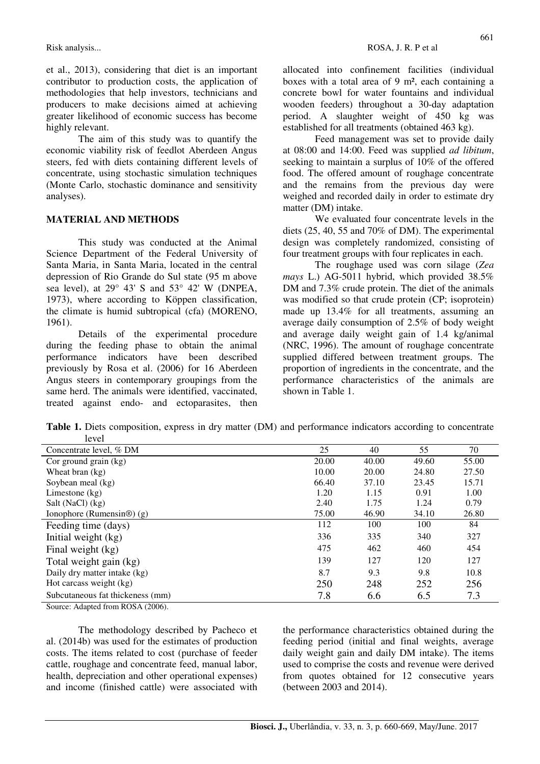et al., 2013), considering that diet is an important contributor to production costs, the application of methodologies that help investors, technicians and producers to make decisions aimed at achieving greater likelihood of economic success has become highly relevant.

The aim of this study was to quantify the economic viability risk of feedlot Aberdeen Angus steers, fed with diets containing different levels of concentrate, using stochastic simulation techniques (Monte Carlo, stochastic dominance and sensitivity analyses).

#### **MATERIAL AND METHODS**

This study was conducted at the Animal Science Department of the Federal University of Santa Maria, in Santa Maria, located in the central depression of Rio Grande do Sul state (95 m above sea level), at  $29^{\circ}$  43' S and  $53^{\circ}$  42' W (DNPEA, 1973), where according to Köppen classification, the climate is humid subtropical (cfa) (MORENO, 1961).

Details of the experimental procedure during the feeding phase to obtain the animal performance indicators have been described previously by Rosa et al. (2006) for 16 Aberdeen Angus steers in contemporary groupings from the same herd. The animals were identified, vaccinated, treated against endo- and ectoparasites, then allocated into confinement facilities (individual boxes with a total area of 9 m², each containing a concrete bowl for water fountains and individual wooden feeders) throughout a 30-day adaptation period. A slaughter weight of 450 kg was established for all treatments (obtained 463 kg).

Feed management was set to provide daily at 08:00 and 14:00. Feed was supplied *ad libitum*, seeking to maintain a surplus of 10% of the offered food. The offered amount of roughage concentrate and the remains from the previous day were weighed and recorded daily in order to estimate dry matter (DM) intake.

We evaluated four concentrate levels in the diets (25, 40, 55 and 70% of DM). The experimental design was completely randomized, consisting of four treatment groups with four replicates in each.

The roughage used was corn silage (*Zea mays* L.) AG-5011 hybrid, which provided 38.5% DM and 7.3% crude protein. The diet of the animals was modified so that crude protein (CP; isoprotein) made up 13.4% for all treatments, assuming an average daily consumption of 2.5% of body weight and average daily weight gain of 1.4 kg/animal (NRC, 1996). The amount of roughage concentrate supplied differed between treatment groups. The proportion of ingredients in the concentrate, and the performance characteristics of the animals are shown in Table 1.

**Table 1.** Diets composition, express in dry matter (DM) and performance indicators according to concentrate  $l$ avel

| 10 V UT                               |       |       |       |       |
|---------------------------------------|-------|-------|-------|-------|
| Concentrate level, % DM               | 25    | 40    | 55    | 70    |
| Cor ground grain $(kg)$               | 20.00 | 40.00 | 49.60 | 55.00 |
| Wheat bran $(kg)$                     | 10.00 | 20.00 | 24.80 | 27.50 |
| Soybean meal (kg)                     | 66.40 | 37.10 | 23.45 | 15.71 |
| Limestone $(kg)$                      | 1.20  | 1.15  | 0.91  | 1.00  |
| Salt (NaCl) (kg)                      | 2.40  | 1.75  | 1.24  | 0.79  |
| Ionophore (Rumensin $\circledR$ ) (g) | 75.00 | 46.90 | 34.10 | 26.80 |
| Feeding time (days)                   | 112   | 100   | 100   | 84    |
| Initial weight (kg)                   | 336   | 335   | 340   | 327   |
| Final weight (kg)                     | 475   | 462   | 460   | 454   |
| Total weight gain (kg)                | 139   | 127   | 120   | 127   |
| Daily dry matter intake (kg)          | 8.7   | 9.3   | 9.8   | 10.8  |
| Hot carcass weight (kg)               | 250   | 248   | 252   | 256   |
| Subcutaneous fat thickeness (mm)      | 7.8   | 6.6   | 6.5   | 7.3   |

Source: Adapted from ROSA (2006).

The methodology described by Pacheco et al. (2014b) was used for the estimates of production costs. The items related to cost (purchase of feeder cattle, roughage and concentrate feed, manual labor, health, depreciation and other operational expenses) and income (finished cattle) were associated with the performance characteristics obtained during the feeding period (initial and final weights, average daily weight gain and daily DM intake). The items used to comprise the costs and revenue were derived from quotes obtained for 12 consecutive years (between 2003 and 2014).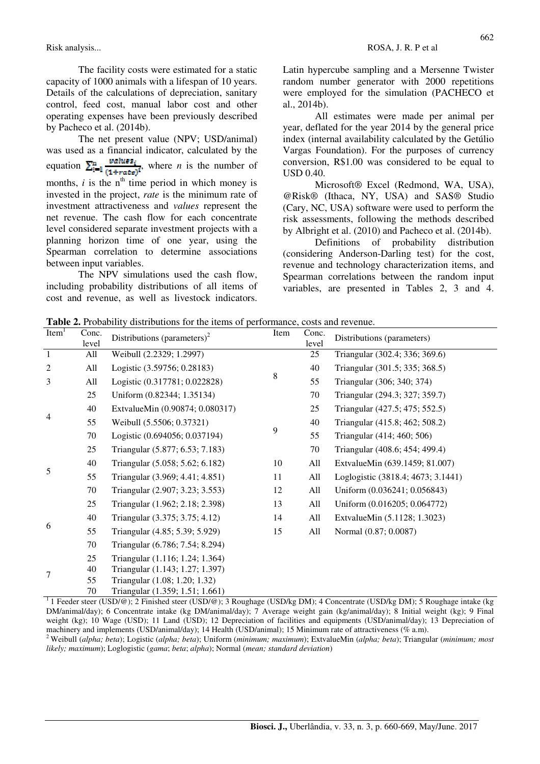Risk analysis... Rose ROSA, J. R. P et al.

The facility costs were estimated for a static capacity of 1000 animals with a lifespan of 10 years. Details of the calculations of depreciation, sanitary control, feed cost, manual labor cost and other operating expenses have been previously described by Pacheco et al. (2014b).

The net present value (NPV; USD/animal) was used as a financial indicator, calculated by the equation  $\sum_{i=1}^{n} \frac{\text{values}_i}{(1+\text{area})^i}$ , where *n* is the number of months,  $i$  is the  $n<sup>th</sup>$  time period in which money is invested in the project, *rate* is the minimum rate of investment attractiveness and *values* represent the net revenue. The cash flow for each concentrate level considered separate investment projects with a planning horizon time of one year, using the Spearman correlation to determine associations between input variables.

The NPV simulations used the cash flow, including probability distributions of all items of cost and revenue, as well as livestock indicators.

Latin hypercube sampling and a Mersenne Twister random number generator with 2000 repetitions were employed for the simulation (PACHECO et al., 2014b).

All estimates were made per animal per year, deflated for the year 2014 by the general price index (internal availability calculated by the Getúlio Vargas Foundation). For the purposes of currency conversion, R\$1.00 was considered to be equal to USD 0.40.

Microsoft® Excel (Redmond, WA, USA), @Risk® (Ithaca, NY, USA) and SAS® Studio (Cary, NC, USA) software were used to perform the risk assessments, following the methods described by Albright et al. (2010) and Pacheco et al. (2014b).

Definitions of probability distribution (considering Anderson-Darling test) for the cost, revenue and technology characterization items, and Spearman correlations between the random input variables, are presented in Tables 2, 3 and 4.

**Table 2.** Probability distributions for the items of performance, costs and revenue.

| Item <sup>1</sup> | Conc.<br>level | Distributions (parameters) <sup>2</sup> | Item | Conc.<br>level | Distributions (parameters)                                                                                                             |
|-------------------|----------------|-----------------------------------------|------|----------------|----------------------------------------------------------------------------------------------------------------------------------------|
| $\mathbf{1}$      | All            | Weibull (2.2329; 1.2997)                |      | 25             | Triangular (302.4; 336; 369.6)                                                                                                         |
| 2                 | All            | Logistic (3.59756; 0.28183)             |      | 40             | Triangular (301.5; 335; 368.5)                                                                                                         |
| 3                 | All            | Logistic (0.317781; 0.022828)           | 8    | 55             | Triangular (306; 340; 374)                                                                                                             |
|                   | 25             | Uniform (0.82344; 1.35134)              |      | 70             | Triangular (294.3; 327; 359.7)                                                                                                         |
|                   | 40             | ExtvalueMin (0.90874; 0.080317)         |      | 25             | Triangular (427.5; 475; 552.5)                                                                                                         |
| 4                 | 55             | Weibull (5.5506; 0.37321)               |      | 40             | Triangular (415.8; 462; 508.2)                                                                                                         |
|                   | 70             | Logistic (0.694056; 0.037194)           | 9    | 55             | Triangular (414; 460; 506)                                                                                                             |
|                   | 25             | Triangular (5.877; 6.53; 7.183)         |      | 70             | Triangular (408.6; 454; 499.4)                                                                                                         |
|                   | 40             | Triangular (5.058; 5.62; 6.182)         | 10   | All            | ExtvalueMin (639.1459; 81.007)                                                                                                         |
| 5                 | 55             | Triangular (3.969; 4.41; 4.851)         | 11   | All            | Loglogistic (3818.4; 4673; 3.1441)                                                                                                     |
|                   | 70             | Triangular (2.907; 3.23; 3.553)         | 12   | All            | Uniform (0.036241; 0.056843)                                                                                                           |
|                   | 25             | Triangular (1.962; 2.18; 2.398)         | 13   | All            | Uniform (0.016205; 0.064772)                                                                                                           |
|                   | 40             | Triangular (3.375; 3.75; 4.12)          | 14   | All            | ExtvalueMin (5.1128; 1.3023)                                                                                                           |
| 6                 | 55             | Triangular (4.85; 5.39; 5.929)          | 15   | All            | Normal (0.87; 0.0087)                                                                                                                  |
|                   | 70             | Triangular (6.786; 7.54; 8.294)         |      |                |                                                                                                                                        |
|                   | 25             | Triangular (1.116; 1.24; 1.364)         |      |                |                                                                                                                                        |
| 7                 | 40             | Triangular (1.143; 1.27; 1.397)         |      |                |                                                                                                                                        |
|                   | 55             | Triangular (1.08; 1.20; 1.32)           |      |                |                                                                                                                                        |
|                   | 70             | Triangular (1.359; 1.51; 1.661)         |      |                | <sup>1</sup> Leader steer (USD/@); 2 Einished steer (USD/@); 2 Doughers (USD/se DM); 4 Consentrate (USD/se DM); 5 Doughers intege (kg) |

<sup>1</sup>1 Feeder steer (USD/@); 2 Finished steer (USD/@); 3 Roughage (USD/kg DM); 4 Concentrate (USD/kg DM); 5 Roughage intake (kg DM/animal/day); 6 Concentrate intake (kg DM/animal/day); 7 Average weight gain (kg/animal/day); 8 Initial weight (kg); 9 Final weight (kg); 10 Wage (USD); 11 Land (USD); 12 Depreciation of facilities and equipments (USD/animal/day); 13 Depreciation of machinery and implements (USD/animal/day); 14 Health (USD/animal); 15 Minimum rate of attractiveness (% a.m). <sup>2</sup>Weibull (*alpha; beta*); Logistic (*alpha; beta*); Uniform (*minimum; maximum*); ExtvalueMin (*alpha; beta*); Triangular (*minimum; most* 

*likely; maximum*); Loglogistic (*gama*; *beta*; *alpha*); Normal (*mean; standard deviation*)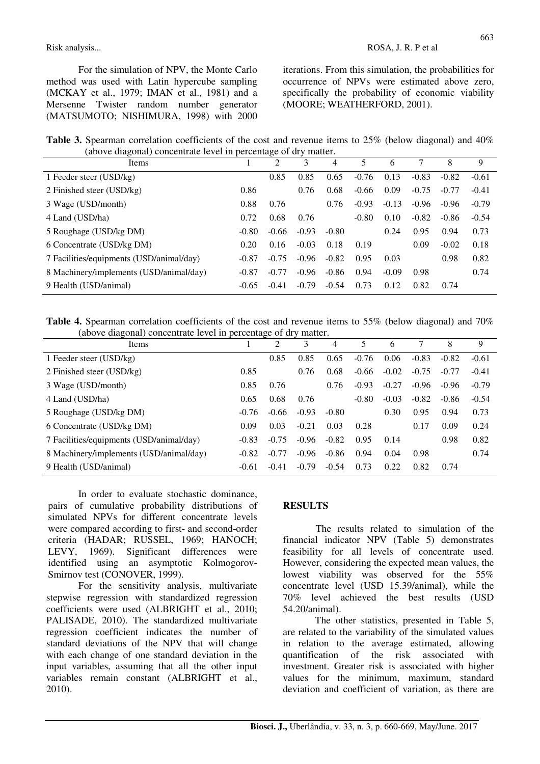For the simulation of NPV, the Monte Carlo method was used with Latin hypercube sampling (MCKAY et al., 1979; IMAN et al., 1981) and a Mersenne Twister random number generator (MATSUMOTO; NISHIMURA, 1998) with 2000 iterations. From this simulation, the probabilities for occurrence of NPVs were estimated above zero, specifically the probability of economic viability (MOORE; WEATHERFORD, 2001).

**Table 3.** Spearman correlation coefficients of the cost and revenue items to 25% (below diagonal) and 40% (above diagonal) concentrate level in percentage of dry matter.

| (above angoma) concentrate to ver in percentage of $a_i$ , matter.<br>Items |         | 2       | 3       | 4       |         | 6       |         | 8       | 9       |
|-----------------------------------------------------------------------------|---------|---------|---------|---------|---------|---------|---------|---------|---------|
| 1 Feeder steer (USD/kg)                                                     |         | 0.85    | 0.85    | 0.65    | $-0.76$ | 0.13    | $-0.83$ | $-0.82$ | $-0.61$ |
| 2 Finished steer (USD/kg)                                                   | 0.86    |         | 0.76    | 0.68    | $-0.66$ | 0.09    | $-0.75$ | $-0.77$ | $-0.41$ |
| 3 Wage (USD/month)                                                          | 0.88    | 0.76    |         | 0.76    | $-0.93$ | $-0.13$ | $-0.96$ | $-0.96$ | $-0.79$ |
| 4 Land (USD/ha)                                                             | 0.72    | 0.68    | 0.76    |         | $-0.80$ | 0.10    | $-0.82$ | $-0.86$ | $-0.54$ |
| 5 Roughage (USD/kg DM)                                                      | $-0.80$ | $-0.66$ | $-0.93$ | $-0.80$ |         | 0.24    | 0.95    | 0.94    | 0.73    |
| 6 Concentrate (USD/kg DM)                                                   | 0.20    | 0.16    | $-0.03$ | 0.18    | 0.19    |         | 0.09    | $-0.02$ | 0.18    |
| 7 Facilities/equipments (USD/animal/day)                                    | $-0.87$ | $-0.75$ | $-0.96$ | $-0.82$ | 0.95    | 0.03    |         | 0.98    | 0.82    |
| 8 Machinery/implements (USD/animal/day)                                     | $-0.87$ | $-0.77$ | $-0.96$ | $-0.86$ | 0.94    | $-0.09$ | 0.98    |         | 0.74    |
| 9 Health (USD/animal)                                                       | $-0.65$ | $-0.41$ | $-0.79$ | $-0.54$ | 0.73    | 0.12    | 0.82    | 0.74    |         |

**Table 4.** Spearman correlation coefficients of the cost and revenue items to 55% (below diagonal) and 70% (above diagonal) concentrate level in percentage of dry matter.

| Items                                    |         | 2       | 3       | 4       |         | 6       |         | 8       | 9       |
|------------------------------------------|---------|---------|---------|---------|---------|---------|---------|---------|---------|
| 1 Feeder steer (USD/kg)                  |         | 0.85    | 0.85    | 0.65    | $-0.76$ | 0.06    | $-0.83$ | $-0.82$ | $-0.61$ |
| 2 Finished steer (USD/kg)                | 0.85    |         | 0.76    | 0.68    | $-0.66$ | $-0.02$ | $-0.75$ | $-0.77$ | $-0.41$ |
| 3 Wage (USD/month)                       | 0.85    | 0.76    |         | 0.76    | $-0.93$ | $-0.27$ | $-0.96$ | $-0.96$ | $-0.79$ |
| 4 Land (USD/ha)                          | 0.65    | 0.68    | 0.76    |         | $-0.80$ | $-0.03$ | $-0.82$ | $-0.86$ | $-0.54$ |
| 5 Roughage (USD/kg DM)                   | $-0.76$ | $-0.66$ | $-0.93$ | $-0.80$ |         | 0.30    | 0.95    | 0.94    | 0.73    |
| 6 Concentrate (USD/kg DM)                | 0.09    | 0.03    | $-0.21$ | 0.03    | 0.28    |         | 0.17    | 0.09    | 0.24    |
| 7 Facilities/equipments (USD/animal/day) | $-0.83$ | $-0.75$ | $-0.96$ | $-0.82$ | 0.95    | 0.14    |         | 0.98    | 0.82    |
| 8 Machinery/implements (USD/animal/day)  | $-0.82$ | $-0.77$ | $-0.96$ | $-0.86$ | 0.94    | 0.04    | 0.98    |         | 0.74    |
| 9 Health (USD/animal)                    | $-0.61$ | $-0.41$ | $-0.79$ | $-0.54$ | 0.73    | 0.22    | 0.82    | 0.74    |         |

In order to evaluate stochastic dominance, pairs of cumulative probability distributions of simulated NPVs for different concentrate levels were compared according to first- and second-order criteria (HADAR; RUSSEL, 1969; HANOCH; LEVY, 1969). Significant differences were identified using an asymptotic Kolmogorov-Smirnov test (CONOVER, 1999).

For the sensitivity analysis, multivariate stepwise regression with standardized regression coefficients were used (ALBRIGHT et al., 2010; PALISADE, 2010). The standardized multivariate regression coefficient indicates the number of standard deviations of the NPV that will change with each change of one standard deviation in the input variables, assuming that all the other input variables remain constant (ALBRIGHT et al., 2010).

## **RESULTS**

The results related to simulation of the financial indicator NPV (Table 5) demonstrates feasibility for all levels of concentrate used. However, considering the expected mean values, the lowest viability was observed for the 55% concentrate level (USD 15.39/animal), while the 70% level achieved the best results (USD 54.20/animal).

The other statistics, presented in Table 5, are related to the variability of the simulated values in relation to the average estimated, allowing quantification of the risk associated with investment. Greater risk is associated with higher values for the minimum, maximum, standard deviation and coefficient of variation, as there are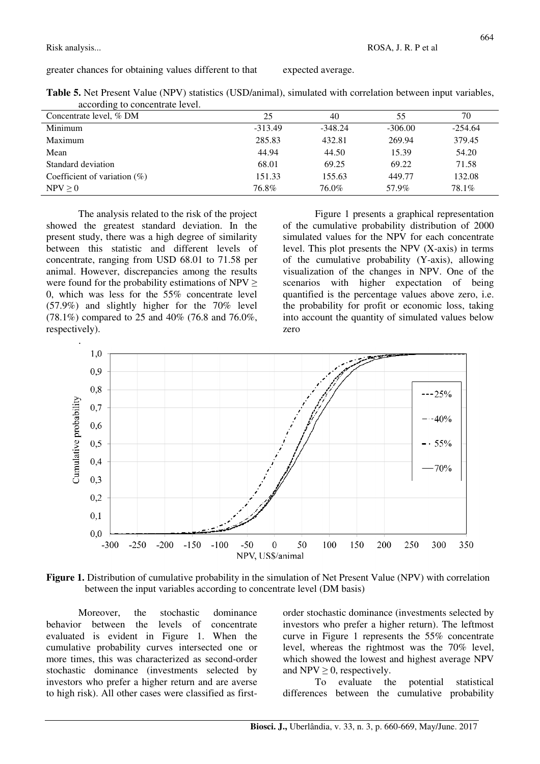Risk analysis... Rosal ROSA, J. R. P et al.

greater chances for obtaining values different to that expected average.

|                                 | Table 5. Net Present Value (NPV) statistics (USD/animal), simulated with correlation between input variables, |
|---------------------------------|---------------------------------------------------------------------------------------------------------------|
| according to concentrate level. |                                                                                                               |

| ັ<br>Concentrate level, % DM    | 25        | 40        | 55        | 70        |
|---------------------------------|-----------|-----------|-----------|-----------|
| Minimum                         | $-313.49$ | $-348.24$ | $-306.00$ | $-254.64$ |
| Maximum                         | 285.83    | 432.81    | 269.94    | 379.45    |
| Mean                            | 44.94     | 44.50     | 15.39     | 54.20     |
| Standard deviation              | 68.01     | 69.25     | 69.22     | 71.58     |
| Coefficient of variation $(\%)$ | 151.33    | 155.63    | 449.77    | 132.08    |
| NPV > 0                         | 76.8%     | 76.0%     | 57.9%     | 78.1%     |

The analysis related to the risk of the project showed the greatest standard deviation. In the present study, there was a high degree of similarity between this statistic and different levels of concentrate, ranging from USD 68.01 to 71.58 per animal. However, discrepancies among the results were found for the probability estimations of  $NPV \geq$ 0, which was less for the 55% concentrate level (57.9%) and slightly higher for the 70% level (78.1%) compared to 25 and 40% (76.8 and 76.0%, respectively).

Figure 1 presents a graphical representation of the cumulative probability distribution of 2000 simulated values for the NPV for each concentrate level. This plot presents the NPV (X-axis) in terms of the cumulative probability (Y-axis), allowing visualization of the changes in NPV. One of the scenarios with higher expectation of being quantified is the percentage values above zero, i.e. the probability for profit or economic loss, taking into account the quantity of simulated values below zero





Moreover, the stochastic dominance behavior between the levels of concentrate evaluated is evident in Figure 1. When the cumulative probability curves intersected one or more times, this was characterized as second-order stochastic dominance (investments selected by investors who prefer a higher return and are averse to high risk). All other cases were classified as firstorder stochastic dominance (investments selected by investors who prefer a higher return). The leftmost curve in Figure 1 represents the 55% concentrate level, whereas the rightmost was the 70% level, which showed the lowest and highest average NPV and NPV  $\geq$  0, respectively.

To evaluate the potential statistical differences between the cumulative probability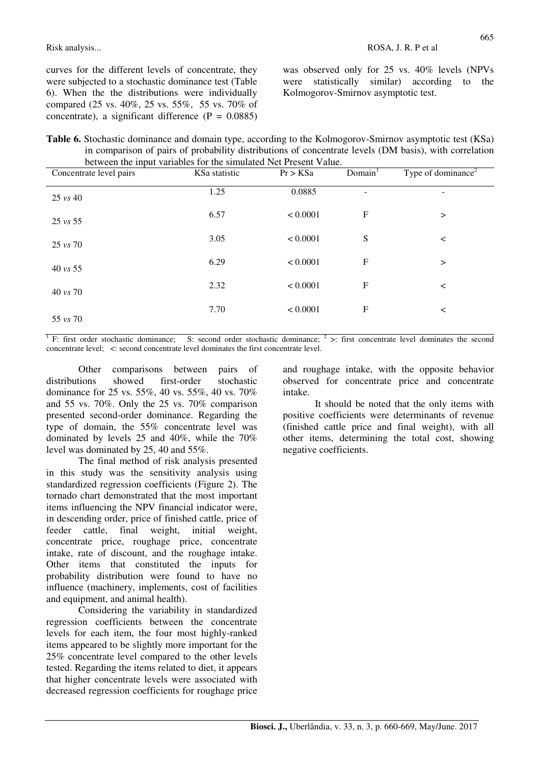curves for the different levels of concentrate, they were subjected to a stochastic dominance test (Table 6). When the the distributions were individually compared (25 vs. 40%, 25 vs. 55%, 55 vs. 70% of concentrate), a significant difference  $(P = 0.0885)$ 

was observed only for 25 vs. 40% levels (NPVs were statistically similar) according to the Kolmogorov-Smirnov asymptotic test.

| Table 6. Stochastic dominance and domain type, according to the Kolmogorov-Smirnov asymptotic test (KSa) |
|----------------------------------------------------------------------------------------------------------|
| in comparison of pairs of probability distributions of concentrate levels (DM basis), with correlation   |
| between the input variables for the simulated Net Present Value.                                         |

| Concentrate level pairs | KSa statistic | Pr > KSa | Domain <sup>1</sup>       | Type of dominance <sup>2</sup> |
|-------------------------|---------------|----------|---------------------------|--------------------------------|
| $25 \text{ vs } 40$     | 1.25          | 0.0885   | ۰                         | -                              |
| $25 \text{ vs } 55$     | 6.57          | < 0.0001 | $\boldsymbol{\mathrm{F}}$ | $\rm{~}$                       |
| $25 \text{ vs } 70$     | 3.05          | < 0.0001 | ${\bf S}$                 | $\,<\,$                        |
| $40 \text{ vs } 55$     | 6.29          | < 0.0001 | $\boldsymbol{\mathrm{F}}$ | $\rm{~}$                       |
| 40 vs 70                | 2.32          | < 0.0001 | F                         | $\,<\,$                        |
|                         | 7.70          | < 0.0001 | $\boldsymbol{\mathrm{F}}$ | $\,<\,$                        |
| $55 \text{ vs } 70$     |               |          |                           |                                |

 $\overline{1}$  F: first order stochastic dominance; S: second order stochastic dominance;  $\overline{2}$  >: first concentrate level dominates the second concentrate level; <: second concentrate level dominates the first concentrate level.

Other comparisons between pairs of distributions showed first-order stochastic dominance for 25 vs. 55%, 40 vs. 55%, 40 vs. 70% and 55 vs. 70%. Only the 25 vs. 70% comparison presented second-order dominance. Regarding the type of domain, the 55% concentrate level was dominated by levels 25 and 40%, while the 70% level was dominated by 25, 40 and 55%.

The final method of risk analysis presented in this study was the sensitivity analysis using standardized regression coefficients (Figure 2). The tornado chart demonstrated that the most important items influencing the NPV financial indicator were, in descending order, price of finished cattle, price of feeder cattle, final weight, initial weight, concentrate price, roughage price, concentrate intake, rate of discount, and the roughage intake. Other items that constituted the inputs for probability distribution were found to have no influence (machinery, implements, cost of facilities and equipment, and animal health).

Considering the variability in standardized regression coefficients between the concentrate levels for each item, the four most highly-ranked items appeared to be slightly more important for the 25% concentrate level compared to the other levels tested. Regarding the items related to diet, it appears that higher concentrate levels were associated with decreased regression coefficients for roughage price

and roughage intake, with the opposite behavior observed for concentrate price and concentrate intake.

It should be noted that the only items with positive coefficients were determinants of revenue (finished cattle price and final weight), with all other items, determining the total cost, showing negative coefficients.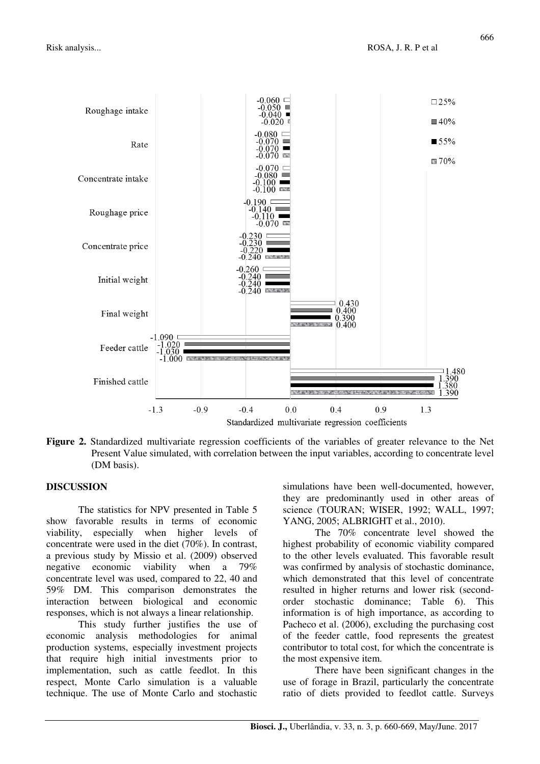

**Figure 2.** Standardized multivariate regression coefficients of the variables of greater relevance to the Net Present Value simulated, with correlation between the input variables, according to concentrate level (DM basis).

### **DISCUSSION**

The statistics for NPV presented in Table 5 show favorable results in terms of economic viability, especially when higher levels of concentrate were used in the diet (70%). In contrast, a previous study by Missio et al. (2009) observed negative economic viability when a 79% concentrate level was used, compared to 22, 40 and 59% DM. This comparison demonstrates the interaction between biological and economic responses, which is not always a linear relationship.

This study further justifies the use of economic analysis methodologies for animal production systems, especially investment projects that require high initial investments prior to implementation, such as cattle feedlot. In this respect, Monte Carlo simulation is a valuable technique. The use of Monte Carlo and stochastic

simulations have been well-documented, however, they are predominantly used in other areas of science (TOURAN; WISER, 1992; WALL, 1997; YANG, 2005; ALBRIGHT et al., 2010).

The 70% concentrate level showed the highest probability of economic viability compared to the other levels evaluated. This favorable result was confirmed by analysis of stochastic dominance, which demonstrated that this level of concentrate resulted in higher returns and lower risk (secondorder stochastic dominance; Table 6). This information is of high importance, as according to Pacheco et al. (2006), excluding the purchasing cost of the feeder cattle, food represents the greatest contributor to total cost, for which the concentrate is the most expensive item.

There have been significant changes in the use of forage in Brazil, particularly the concentrate ratio of diets provided to feedlot cattle. Surveys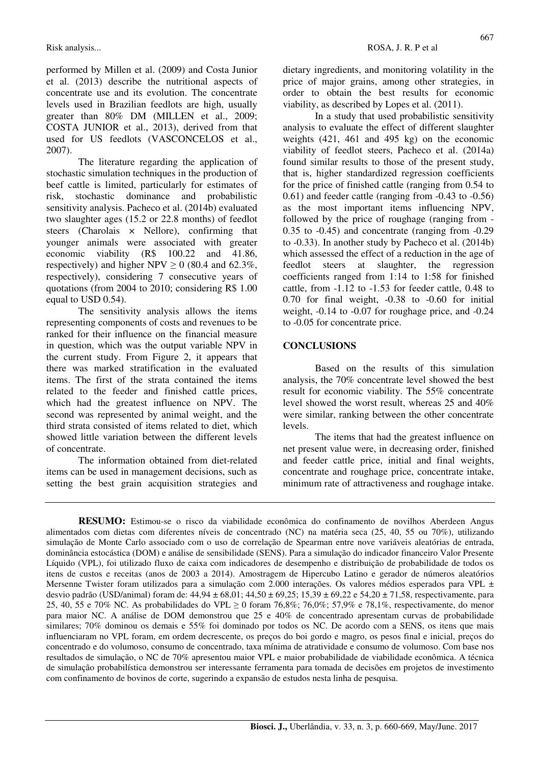performed by Millen et al. (2009) and Costa Junior et al. (2013) describe the nutritional aspects of concentrate use and its evolution. The concentrate levels used in Brazilian feedlots are high, usually greater than 80% DM (MILLEN et al., 2009; COSTA JUNIOR et al., 2013), derived from that used for US feedlots (VASCONCELOS et al., 2007).

The literature regarding the application of stochastic simulation techniques in the production of beef cattle is limited, particularly for estimates of risk, stochastic dominance and probabilistic sensitivity analysis. Pacheco et al. (2014b) evaluated two slaughter ages (15.2 or 22.8 months) of feedlot steers (Charolais  $\times$  Nellore), confirming that younger animals were associated with greater economic viability (R\$ 100.22 and 41.86, respectively) and higher NPV  $\geq 0$  (80.4 and 62.3%, respectively), considering 7 consecutive years of quotations (from 2004 to 2010; considering R\$ 1.00 equal to USD 0.54).

The sensitivity analysis allows the items representing components of costs and revenues to be ranked for their influence on the financial measure in question, which was the output variable NPV in the current study. From Figure 2, it appears that there was marked stratification in the evaluated items. The first of the strata contained the items related to the feeder and finished cattle prices, which had the greatest influence on NPV. The second was represented by animal weight, and the third strata consisted of items related to diet, which showed little variation between the different levels of concentrate.

The information obtained from diet-related items can be used in management decisions, such as setting the best grain acquisition strategies and dietary ingredients, and monitoring volatility in the price of major grains, among other strategies, in order to obtain the best results for economic viability, as described by Lopes et al. (2011).

In a study that used probabilistic sensitivity analysis to evaluate the effect of different slaughter weights (421, 461 and 495 kg) on the economic viability of feedlot steers, Pacheco et al. (2014a) found similar results to those of the present study, that is, higher standardized regression coefficients for the price of finished cattle (ranging from 0.54 to 0.61) and feeder cattle (ranging from -0.43 to -0.56) as the most important items influencing NPV, followed by the price of roughage (ranging from - 0.35 to -0.45) and concentrate (ranging from -0.29 to -0.33). In another study by Pacheco et al. (2014b) which assessed the effect of a reduction in the age of feedlot steers at slaughter, the regression coefficients ranged from 1:14 to 1:58 for finished cattle, from -1.12 to -1.53 for feeder cattle, 0.48 to 0.70 for final weight, -0.38 to -0.60 for initial weight, -0.14 to -0.07 for roughage price, and -0.24 to -0.05 for concentrate price.

### **CONCLUSIONS**

Based on the results of this simulation analysis, the 70% concentrate level showed the best result for economic viability. The 55% concentrate level showed the worst result, whereas 25 and 40% were similar, ranking between the other concentrate levels.

The items that had the greatest influence on net present value were, in decreasing order, finished and feeder cattle price, initial and final weights, concentrate and roughage price, concentrate intake, minimum rate of attractiveness and roughage intake.

**RESUMO:** Estimou-se o risco da viabilidade econômica do confinamento de novilhos Aberdeen Angus alimentados com dietas com diferentes níveis de concentrado (NC) na matéria seca (25, 40, 55 ou 70%), utilizando simulação de Monte Carlo associado com o uso de correlação de Spearman entre nove variáveis aleatórias de entrada, dominância estocástica (DOM) e análise de sensibilidade (SENS). Para a simulação do indicador financeiro Valor Presente Líquido (VPL), foi utilizado fluxo de caixa com indicadores de desempenho e distribuição de probabilidade de todos os itens de custos e receitas (anos de 2003 a 2014). Amostragem de Hipercubo Latino e gerador de números aleatórios Mersenne Twister foram utilizados para a simulação com 2.000 interações. Os valores médios esperados para VPL  $\pm$ desvio padrão (USD/animal) foram de: 44,94 ± 68,01; 44,50 ± 69,25; 15,39 ± 69,22 e 54,20 ± 71,58, respectivamente, para 25, 40, 55 e 70% NC. As probabilidades do VPL  $\geq$  0 foram 76,8%; 76,0%; 57,9% e 78,1%, respectivamente, do menor para maior NC. A análise de DOM demonstrou que 25 e 40% de concentrado apresentam curvas de probabilidade similares; 70% dominou os demais e 55% foi dominado por todos os NC. De acordo com a SENS, os itens que mais influenciaram no VPL foram, em ordem decrescente, os preços do boi gordo e magro, os pesos final e inicial, preços do concentrado e do volumoso, consumo de concentrado, taxa mínima de atratividade e consumo de volumoso. Com base nos resultados de simulação, o NC de 70% apresentou maior VPL e maior probabilidade de viabilidade econômica. A técnica de simulação probabilística demonstrou ser interessante ferramenta para tomada de decisões em projetos de investimento com confinamento de bovinos de corte, sugerindo a expansão de estudos nesta linha de pesquisa.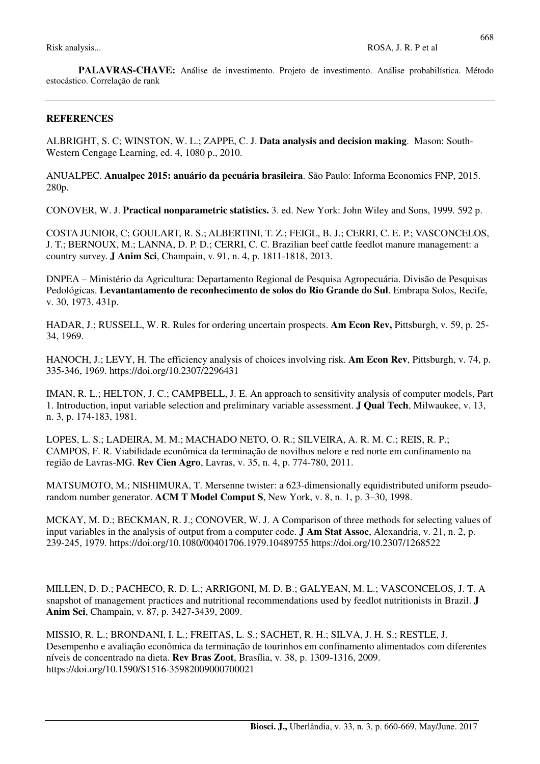**PALAVRAS-CHAVE:** Análise de investimento. Projeto de investimento. Análise probabilística. Método estocástico. Correlação de rank

#### **REFERENCES**

ALBRIGHT, S. C; WINSTON, W. L.; ZAPPE, C. J. **Data analysis and decision making**. Mason: South-Western Cengage Learning, ed. 4, 1080 p., 2010.

ANUALPEC. **Anualpec 2015: anuário da pecuária brasileira**. São Paulo: Informa Economics FNP, 2015. 280p.

CONOVER, W. J. **Practical nonparametric statistics.** 3. ed. New York: John Wiley and Sons, 1999. 592 p.

COSTA JUNIOR, C; GOULART, R. S.; ALBERTINI, T. Z.; FEIGL, B. J.; CERRI, C. E. P.; VASCONCELOS, J. T.; BERNOUX, M.; LANNA, D. P. D.; CERRI, C. C. Brazilian beef cattle feedlot manure management: a country survey. **J Anim Sci**, Champain, v. 91, n. 4, p. 1811-1818, 2013.

DNPEA – Ministério da Agricultura: Departamento Regional de Pesquisa Agropecuária. Divisão de Pesquisas Pedológicas. **Levantantamento de reconhecimento de solos do Rio Grande do Sul**. Embrapa Solos, Recife, v. 30, 1973. 431p.

HADAR, J.; RUSSELL, W. R. Rules for ordering uncertain prospects. **Am Econ Rev,** Pittsburgh, v. 59, p. 25- 34, 1969.

HANOCH, J.; LEVY, H. The efficiency analysis of choices involving risk. **Am Econ Rev**, Pittsburgh, v. 74, p. 335-346, 1969. https://doi.org/10.2307/2296431

IMAN, R. L.; HELTON, J. C.; CAMPBELL, J. E. An approach to sensitivity analysis of computer models, Part 1. Introduction, input variable selection and preliminary variable assessment. **J Qual Tech**, Milwaukee, v. 13, n. 3, p. 174-183, 1981.

LOPES, L. S.; LADEIRA, M. M.; MACHADO NETO, O. R.; SILVEIRA, A. R. M. C.; REIS, R. P.; CAMPOS, F. R. Viabilidade econômica da terminação de novilhos nelore e red norte em confinamento na região de Lavras-MG. **Rev Cien Agro**, Lavras, v. 35, n. 4, p. 774-780, 2011.

MATSUMOTO, M.; NISHIMURA, T. Mersenne twister: a 623-dimensionally equidistributed uniform pseudorandom number generator. **ACM T Model Comput S**, New York, v. 8, n. 1, p. 3–30, 1998.

MCKAY, M. D.; BECKMAN, R. J.; CONOVER, W. J. A Comparison of three methods for selecting values of input variables in the analysis of output from a computer code. **J Am Stat Assoc**, Alexandria, v. 21, n. 2, p. 239-245, 1979. https://doi.org/10.1080/00401706.1979.10489755 https://doi.org/10.2307/1268522

MILLEN, D. D.; PACHECO, R. D. L.; ARRIGONI, M. D. B.; GALYEAN, M. L.; VASCONCELOS, J. T. A snapshot of management practices and nutritional recommendations used by feedlot nutritionists in Brazil. **J Anim Sci**, Champain, v. 87, p. 3427-3439, 2009.

MISSIO, R. L.; BRONDANI, I. L.; FREITAS, L. S.; SACHET, R. H.; SILVA, J. H. S.; RESTLE, J. Desempenho e avaliação econômica da terminação de tourinhos em confinamento alimentados com diferentes níveis de concentrado na dieta. **Rev Bras Zoot**, Brasília, v. 38, p. 1309-1316, 2009. https://doi.org/10.1590/S1516-35982009000700021